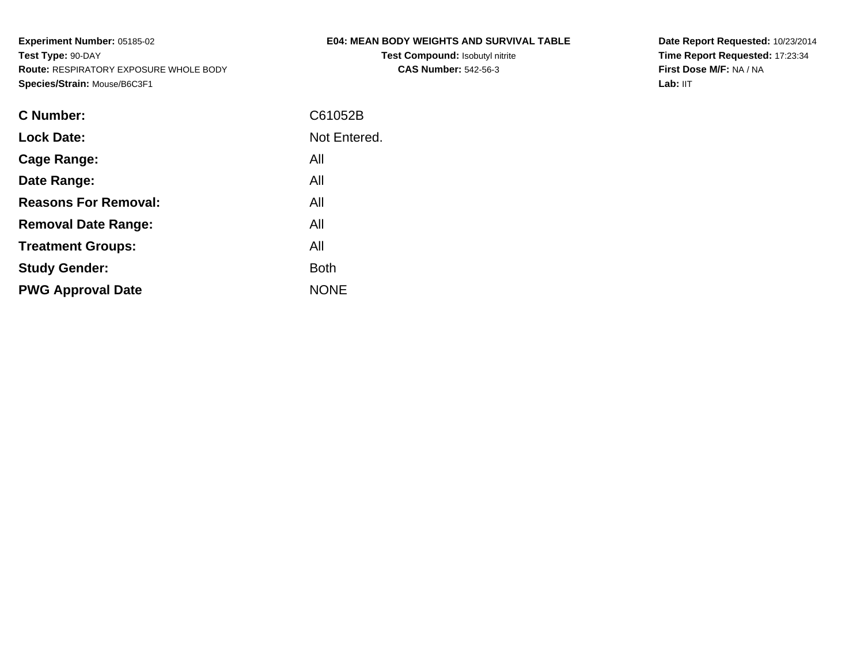## **E04: MEAN BODY WEIGHTS AND SURVIVAL TABLE**

**Test Compound:** Isobutyl nitrite**CAS Number:** 542-56-3

**Date Report Requested:** 10/23/2014**Time Report Requested:** 17:23:34**First Dose M/F:** NA / NA**Lab:** IIT

| <b>C</b> Number:            | C61052B      |
|-----------------------------|--------------|
| <b>Lock Date:</b>           | Not Entered. |
| Cage Range:                 | All          |
| Date Range:                 | All          |
| <b>Reasons For Removal:</b> | All          |
| <b>Removal Date Range:</b>  | All          |
| <b>Treatment Groups:</b>    | All          |
| <b>Study Gender:</b>        | <b>Both</b>  |
| <b>PWG Approval Date</b>    | <b>NONE</b>  |
|                             |              |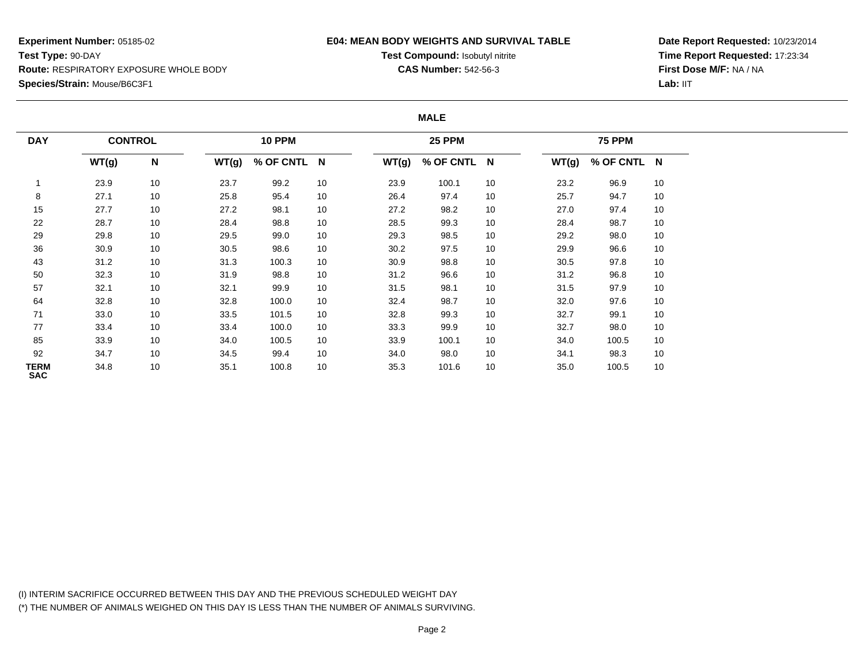### **E04: MEAN BODY WEIGHTS AND SURVIVAL TABLE**

**Test Compound:** Isobutyl nitrite**CAS Number:** 542-56-3

**Date Report Requested:** 10/23/2014**Time Report Requested:** 17:23:34**First Dose M/F:** NA / NA**Lab:** IIT

#### **MALE**

| <b>DAY</b>         | <b>CONTROL</b> |                           | <b>10 PPM</b> |             |    |       | <b>25 PPM</b> |    |       | <b>75 PPM</b> |    |  |  |  |
|--------------------|----------------|---------------------------|---------------|-------------|----|-------|---------------|----|-------|---------------|----|--|--|--|
|                    | WT(g)          | $\boldsymbol{\mathsf{N}}$ | WT(g)         | % OF CNTL N |    | WT(g) | % OF CNTL N   |    | WT(g) | % OF CNTL N   |    |  |  |  |
|                    | 23.9           | 10                        | 23.7          | 99.2        | 10 | 23.9  | 100.1         | 10 | 23.2  | 96.9          | 10 |  |  |  |
| 8                  | 27.1           | 10                        | 25.8          | 95.4        | 10 | 26.4  | 97.4          | 10 | 25.7  | 94.7          | 10 |  |  |  |
| 15                 | 27.7           | 10                        | 27.2          | 98.1        | 10 | 27.2  | 98.2          | 10 | 27.0  | 97.4          | 10 |  |  |  |
| 22                 | 28.7           | 10                        | 28.4          | 98.8        | 10 | 28.5  | 99.3          | 10 | 28.4  | 98.7          | 10 |  |  |  |
| 29                 | 29.8           | 10                        | 29.5          | 99.0        | 10 | 29.3  | 98.5          | 10 | 29.2  | 98.0          | 10 |  |  |  |
| 36                 | 30.9           | 10                        | 30.5          | 98.6        | 10 | 30.2  | 97.5          | 10 | 29.9  | 96.6          | 10 |  |  |  |
| 43                 | 31.2           | 10                        | 31.3          | 100.3       | 10 | 30.9  | 98.8          | 10 | 30.5  | 97.8          | 10 |  |  |  |
| 50                 | 32.3           | 10                        | 31.9          | 98.8        | 10 | 31.2  | 96.6          | 10 | 31.2  | 96.8          | 10 |  |  |  |
| 57                 | 32.1           | 10                        | 32.1          | 99.9        | 10 | 31.5  | 98.1          | 10 | 31.5  | 97.9          | 10 |  |  |  |
| 64                 | 32.8           | 10                        | 32.8          | 100.0       | 10 | 32.4  | 98.7          | 10 | 32.0  | 97.6          | 10 |  |  |  |
| 71                 | 33.0           | 10                        | 33.5          | 101.5       | 10 | 32.8  | 99.3          | 10 | 32.7  | 99.1          | 10 |  |  |  |
| 77                 | 33.4           | 10                        | 33.4          | 100.0       | 10 | 33.3  | 99.9          | 10 | 32.7  | 98.0          | 10 |  |  |  |
| 85                 | 33.9           | 10                        | 34.0          | 100.5       | 10 | 33.9  | 100.1         | 10 | 34.0  | 100.5         | 10 |  |  |  |
| 92                 | 34.7           | 10                        | 34.5          | 99.4        | 10 | 34.0  | 98.0          | 10 | 34.1  | 98.3          | 10 |  |  |  |
| TERM<br><b>SAC</b> | 34.8           | 10                        | 35.1          | 100.8       | 10 | 35.3  | 101.6         | 10 | 35.0  | 100.5         | 10 |  |  |  |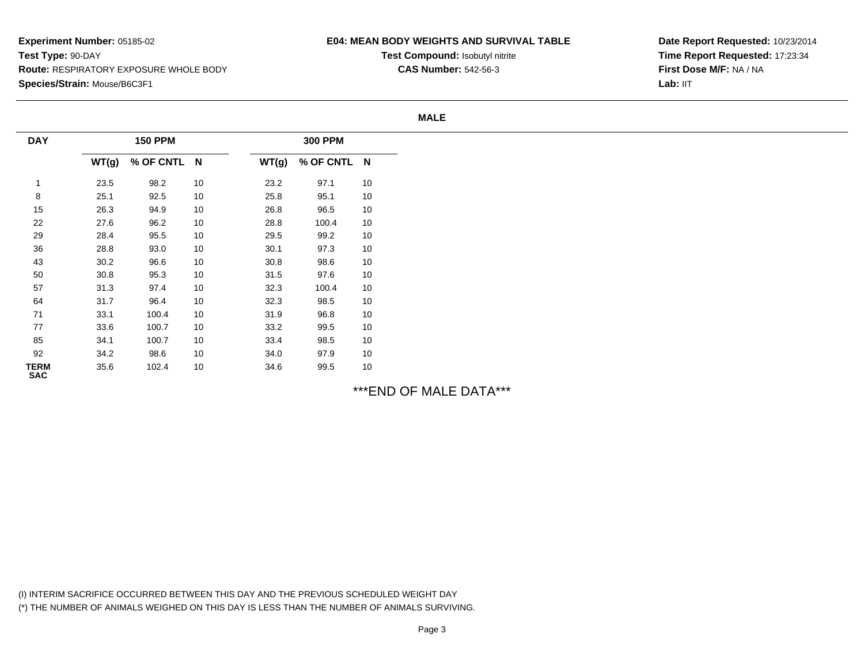## **E04: MEAN BODY WEIGHTS AND SURVIVAL TABLE**

**Test Compound:** Isobutyl nitrite**CAS Number:** 542-56-3

**Date Report Requested:** 10/23/2014**Time Report Requested:** 17:23:34**First Dose M/F:** NA / NALab: IIT

#### **MALE**

| <b>DAY</b>                |       | <b>150 PPM</b> |    |       | <b>300 PPM</b> |    |
|---------------------------|-------|----------------|----|-------|----------------|----|
|                           | WT(g) | % OF CNTL N    |    | WT(g) | % OF CNTL N    |    |
| $\mathbf{1}$              | 23.5  | 98.2           | 10 | 23.2  | 97.1           | 10 |
| 8                         | 25.1  | 92.5           | 10 | 25.8  | 95.1           | 10 |
| 15                        | 26.3  | 94.9           | 10 | 26.8  | 96.5           | 10 |
| 22                        | 27.6  | 96.2           | 10 | 28.8  | 100.4          | 10 |
| 29                        | 28.4  | 95.5           | 10 | 29.5  | 99.2           | 10 |
| 36                        | 28.8  | 93.0           | 10 | 30.1  | 97.3           | 10 |
| 43                        | 30.2  | 96.6           | 10 | 30.8  | 98.6           | 10 |
| $50\,$                    | 30.8  | 95.3           | 10 | 31.5  | 97.6           | 10 |
| 57                        | 31.3  | 97.4           | 10 | 32.3  | 100.4          | 10 |
| 64                        | 31.7  | 96.4           | 10 | 32.3  | 98.5           | 10 |
| 71                        | 33.1  | 100.4          | 10 | 31.9  | 96.8           | 10 |
| 77                        | 33.6  | 100.7          | 10 | 33.2  | 99.5           | 10 |
| 85                        | 34.1  | 100.7          | 10 | 33.4  | 98.5           | 10 |
| 92                        | 34.2  | 98.6           | 10 | 34.0  | 97.9           | 10 |
| <b>TERM</b><br><b>SAC</b> | 35.6  | 102.4          | 10 | 34.6  | 99.5           | 10 |

\*\*\*END OF MALE DATA\*\*\*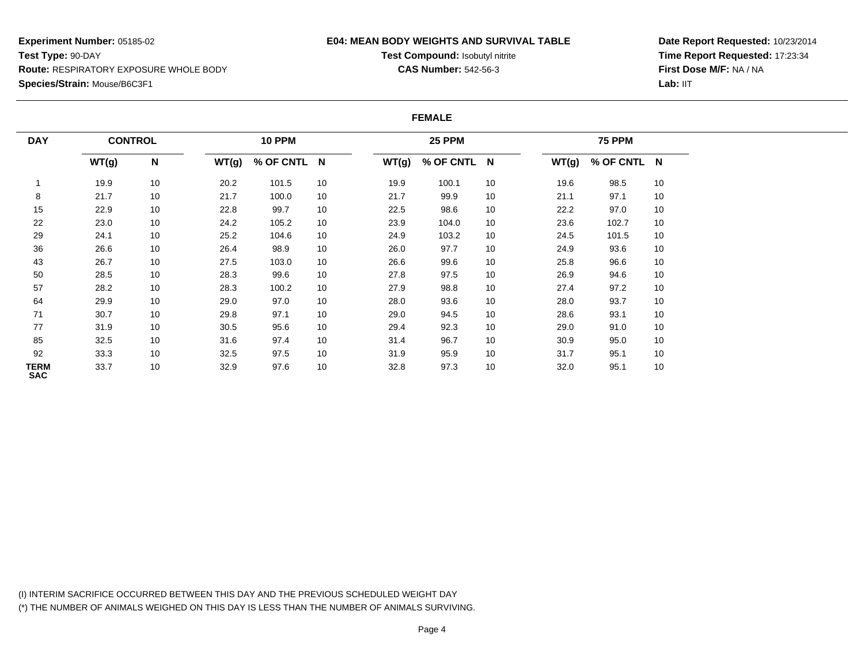### **E04: MEAN BODY WEIGHTS AND SURVIVAL TABLE**

**Test Compound:** Isobutyl nitrite**CAS Number:** 542-56-3

**Date Report Requested:** 10/23/2014**Time Report Requested:** 17:23:34**First Dose M/F:** NA / NA**Lab:** IIT

#### **FEMALE**

| <b>DAY</b>         |       | <b>CONTROL</b> |       | <b>10 PPM</b> |    |       | <b>25 PPM</b> |    |       | <b>75 PPM</b> |    |  |  |
|--------------------|-------|----------------|-------|---------------|----|-------|---------------|----|-------|---------------|----|--|--|
|                    | WT(g) | N              | WT(g) | % OF CNTL N   |    | WT(g) | % OF CNTL N   |    | WT(g) | % OF CNTL N   |    |  |  |
|                    | 19.9  | 10             | 20.2  | 101.5         | 10 | 19.9  | 100.1         | 10 | 19.6  | 98.5          | 10 |  |  |
| 8                  | 21.7  | 10             | 21.7  | 100.0         | 10 | 21.7  | 99.9          | 10 | 21.1  | 97.1          | 10 |  |  |
| 15                 | 22.9  | 10             | 22.8  | 99.7          | 10 | 22.5  | 98.6          | 10 | 22.2  | 97.0          | 10 |  |  |
| 22                 | 23.0  | 10             | 24.2  | 105.2         | 10 | 23.9  | 104.0         | 10 | 23.6  | 102.7         | 10 |  |  |
| 29                 | 24.1  | 10             | 25.2  | 104.6         | 10 | 24.9  | 103.2         | 10 | 24.5  | 101.5         | 10 |  |  |
| 36                 | 26.6  | 10             | 26.4  | 98.9          | 10 | 26.0  | 97.7          | 10 | 24.9  | 93.6          | 10 |  |  |
| 43                 | 26.7  | 10             | 27.5  | 103.0         | 10 | 26.6  | 99.6          | 10 | 25.8  | 96.6          | 10 |  |  |
| 50                 | 28.5  | 10             | 28.3  | 99.6          | 10 | 27.8  | 97.5          | 10 | 26.9  | 94.6          | 10 |  |  |
| 57                 | 28.2  | 10             | 28.3  | 100.2         | 10 | 27.9  | 98.8          | 10 | 27.4  | 97.2          | 10 |  |  |
| 64                 | 29.9  | 10             | 29.0  | 97.0          | 10 | 28.0  | 93.6          | 10 | 28.0  | 93.7          | 10 |  |  |
| 71                 | 30.7  | 10             | 29.8  | 97.1          | 10 | 29.0  | 94.5          | 10 | 28.6  | 93.1          | 10 |  |  |
| 77                 | 31.9  | 10             | 30.5  | 95.6          | 10 | 29.4  | 92.3          | 10 | 29.0  | 91.0          | 10 |  |  |
| 85                 | 32.5  | 10             | 31.6  | 97.4          | 10 | 31.4  | 96.7          | 10 | 30.9  | 95.0          | 10 |  |  |
| 92                 | 33.3  | 10             | 32.5  | 97.5          | 10 | 31.9  | 95.9          | 10 | 31.7  | 95.1          | 10 |  |  |
| TERM<br><b>SAC</b> | 33.7  | 10             | 32.9  | 97.6          | 10 | 32.8  | 97.3          | 10 | 32.0  | 95.1          | 10 |  |  |